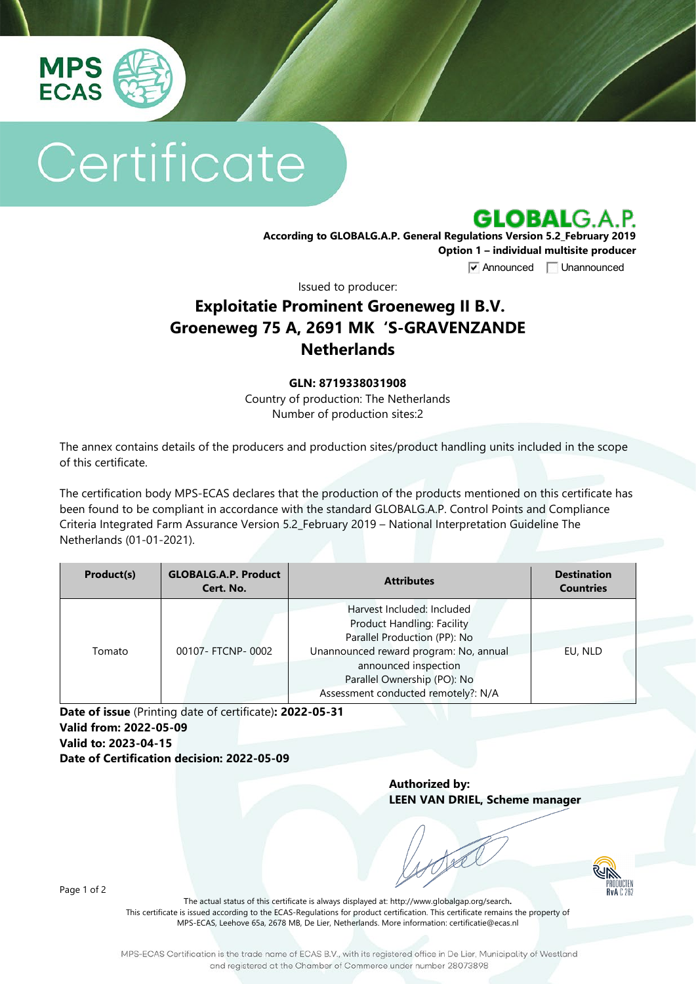

# Certificate



**According to GLOBALG.A.P. General Regulations Version 5.2\_February 2019 Option 1 – individual multisite producer**

**V** Announced **Unannounced** 

Issued to producer:

## **Exploitatie Prominent Groeneweg II B.V. Groeneweg 75 A, 2691 MK 'S-GRAVENZANDE Netherlands**

#### **GLN: 8719338031908**

Country of production: The Netherlands Number of production sites:2

The annex contains details of the producers and production sites/product handling units included in the scope of this certificate.

The certification body MPS-ECAS declares that the production of the products mentioned on this certificate has been found to be compliant in accordance with the standard GLOBALG.A.P. Control Points and Compliance Criteria Integrated Farm Assurance Version 5.2\_February 2019 – National Interpretation Guideline The Netherlands (01-01-2021).

| Product(s) | <b>GLOBALG.A.P. Product</b><br>Cert. No. | <b>Attributes</b>                                                                                                                                                                                                                       | <b>Destination</b><br><b>Countries</b> |
|------------|------------------------------------------|-----------------------------------------------------------------------------------------------------------------------------------------------------------------------------------------------------------------------------------------|----------------------------------------|
| Tomato     | 00107- FTCNP-0002                        | Harvest Included: Included<br><b>Product Handling: Facility</b><br>Parallel Production (PP): No<br>Unannounced reward program: No, annual<br>announced inspection<br>Parallel Ownership (PO): No<br>Assessment conducted remotely?: N/A | EU, NLD                                |

**Date of issue** (Printing date of certificate)**: 2022-05-31 Valid from: 2022-05-09 Valid to: 2023-04-15 Date of Certification decision: 2022-05-09**

> **Authorized by: LEEN VAN DRIEL, Scheme manager**



Page 1 of 2

The actual status of this certificate is always displayed at: <http://www.globalgap.org/search>**.**  This certificate is issued according to the ECAS-Regulations for product certification. This certificate remains the property of MPS-ECAS, Leehove 65a, 2678 MB, De Lier, Netherlands. More information[: certificatie@ecas.nl](mailto:certificatie@ecas.nl)